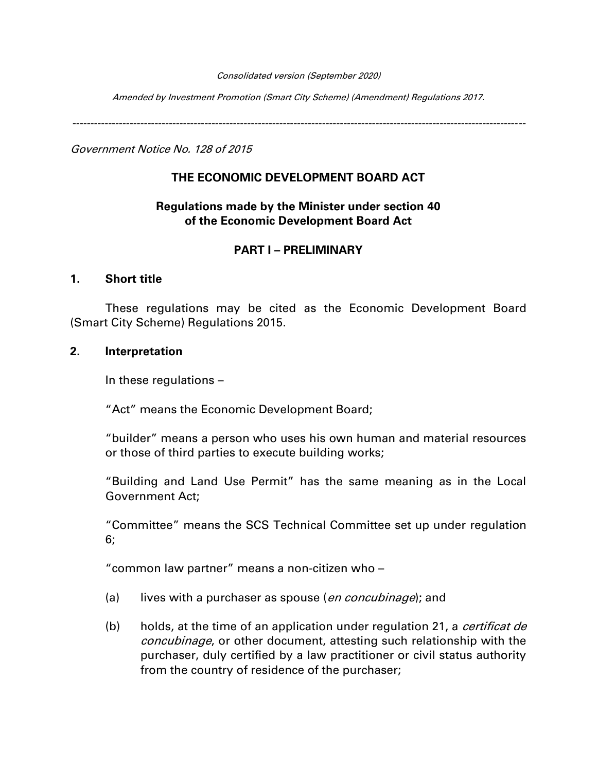#### Consolidated version (September 2020)

Amended by Investment Promotion (Smart City Scheme) (Amendment) Regulations 2017.

-------------------------------------------------------------------------------------------------------------------------------

Government Notice No. 128 of 2015

#### **THE ECONOMIC DEVELOPMENT BOARD ACT**

### **Regulations made by the Minister under section 40 of the Economic Development Board Act**

#### **PART I – PRELIMINARY**

#### **1. Short title**

These regulations may be cited as the Economic Development Board (Smart City Scheme) Regulations 2015.

#### **2. Interpretation**

In these regulations –

"Act" means the Economic Development Board;

"builder" means a person who uses his own human and material resources or those of third parties to execute building works;

"Building and Land Use Permit" has the same meaning as in the Local Government Act;

"Committee" means the SCS Technical Committee set up under regulation 6;

"common law partner" means a non-citizen who –

- (a) lives with a purchaser as spouse (*en concubinage*); and
- (b) holds, at the time of an application under regulation 21, a *certificat de* concubinage, or other document, attesting such relationship with the purchaser, duly certified by a law practitioner or civil status authority from the country of residence of the purchaser;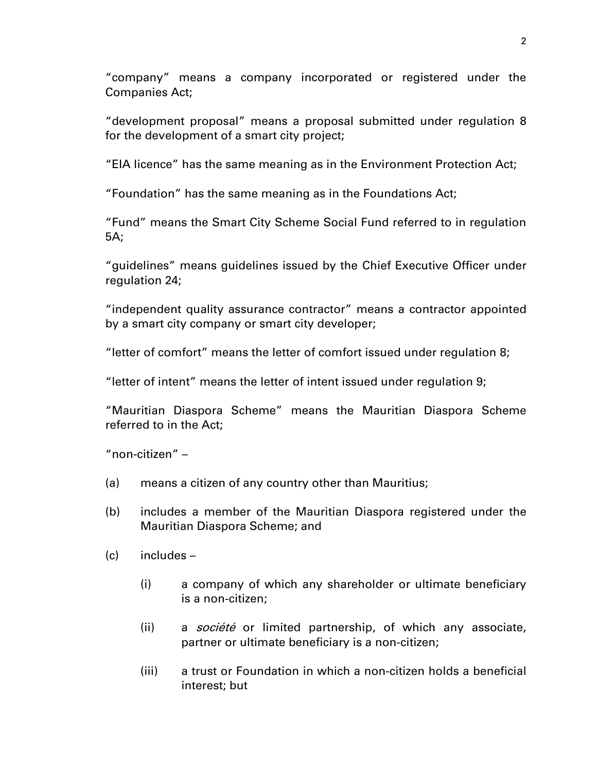"company" means a company incorporated or registered under the Companies Act;

"development proposal" means a proposal submitted under regulation 8 for the development of a smart city project;

"EIA licence" has the same meaning as in the Environment Protection Act;

"Foundation" has the same meaning as in the Foundations Act;

"Fund" means the Smart City Scheme Social Fund referred to in regulation 5A;

"guidelines" means guidelines issued by the Chief Executive Officer under regulation 24;

"independent quality assurance contractor" means a contractor appointed by a smart city company or smart city developer;

"letter of comfort" means the letter of comfort issued under regulation 8;

"letter of intent" means the letter of intent issued under regulation 9;

"Mauritian Diaspora Scheme" means the Mauritian Diaspora Scheme referred to in the Act;

"non-citizen" –

- (a) means a citizen of any country other than Mauritius;
- (b) includes a member of the Mauritian Diaspora registered under the Mauritian Diaspora Scheme; and
- (c) includes
	- (i) a company of which any shareholder or ultimate beneficiary is a non-citizen;
	- (ii) a *société* or limited partnership, of which any associate, partner or ultimate beneficiary is a non-citizen;
	- (iii) a trust or Foundation in which a non-citizen holds a beneficial interest; but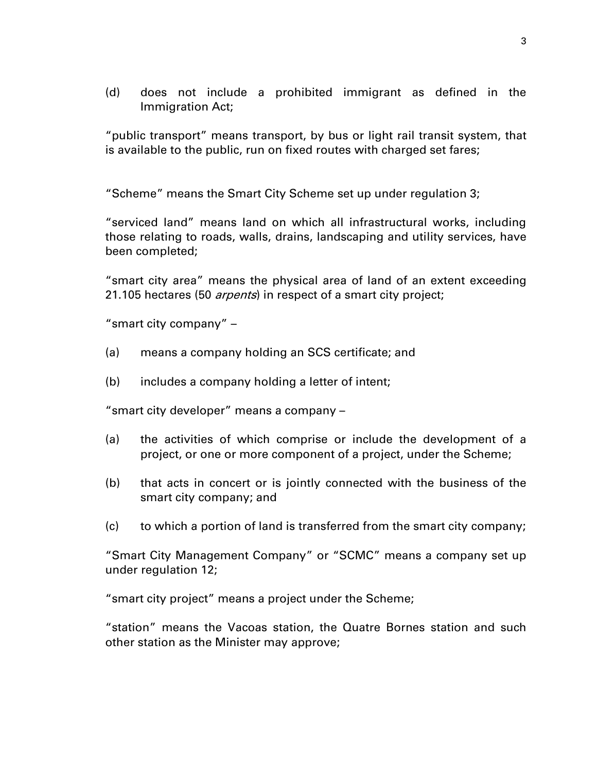(d) does not include a prohibited immigrant as defined in the Immigration Act;

"public transport" means transport, by bus or light rail transit system, that is available to the public, run on fixed routes with charged set fares;

"Scheme" means the Smart City Scheme set up under regulation 3;

"serviced land" means land on which all infrastructural works, including those relating to roads, walls, drains, landscaping and utility services, have been completed;

"smart city area" means the physical area of land of an extent exceeding 21.105 hectares (50 *arpents*) in respect of a smart city project;

"smart city company" –

- (a) means a company holding an SCS certificate; and
- (b) includes a company holding a letter of intent;

"smart city developer" means a company –

- (a) the activities of which comprise or include the development of a project, or one or more component of a project, under the Scheme;
- (b) that acts in concert or is jointly connected with the business of the smart city company; and
- (c) to which a portion of land is transferred from the smart city company;

"Smart City Management Company" or "SCMC" means a company set up under regulation 12;

"smart city project" means a project under the Scheme;

"station" means the Vacoas station, the Quatre Bornes station and such other station as the Minister may approve;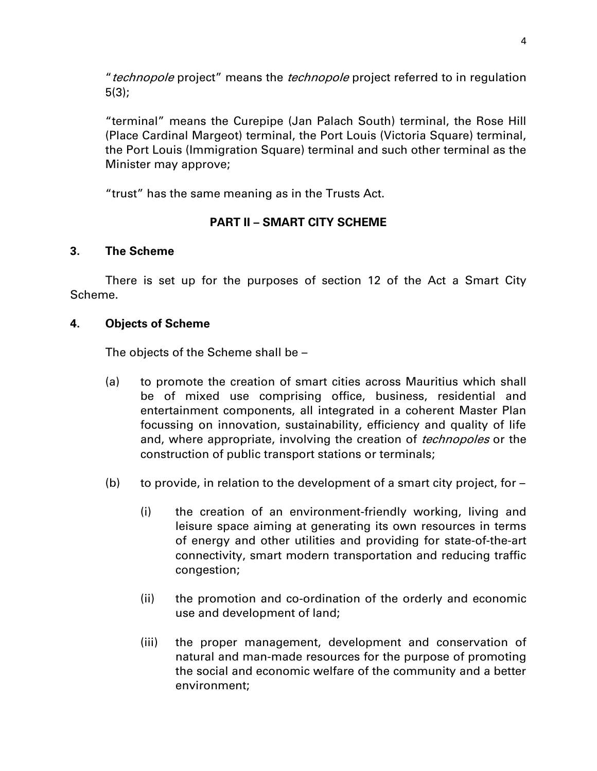"*technopole* project" means the *technopole* project referred to in regulation 5(3);

"terminal" means the Curepipe (Jan Palach South) terminal, the Rose Hill (Place Cardinal Margeot) terminal, the Port Louis (Victoria Square) terminal, the Port Louis (Immigration Square) terminal and such other terminal as the Minister may approve;

"trust" has the same meaning as in the Trusts Act.

## **PART II – SMART CITY SCHEME**

## **3. The Scheme**

There is set up for the purposes of section 12 of the Act a Smart City Scheme.

#### **4. Objects of Scheme**

The objects of the Scheme shall be –

- (a) to promote the creation of smart cities across Mauritius which shall be of mixed use comprising office, business, residential and entertainment components, all integrated in a coherent Master Plan focussing on innovation, sustainability, efficiency and quality of life and, where appropriate, involving the creation of *technopoles* or the construction of public transport stations or terminals;
- (b) to provide, in relation to the development of a smart city project, for  $-$ 
	- (i) the creation of an environment-friendly working, living and leisure space aiming at generating its own resources in terms of energy and other utilities and providing for state-of-the-art connectivity, smart modern transportation and reducing traffic congestion;
	- (ii) the promotion and co-ordination of the orderly and economic use and development of land;
	- (iii) the proper management, development and conservation of natural and man-made resources for the purpose of promoting the social and economic welfare of the community and a better environment;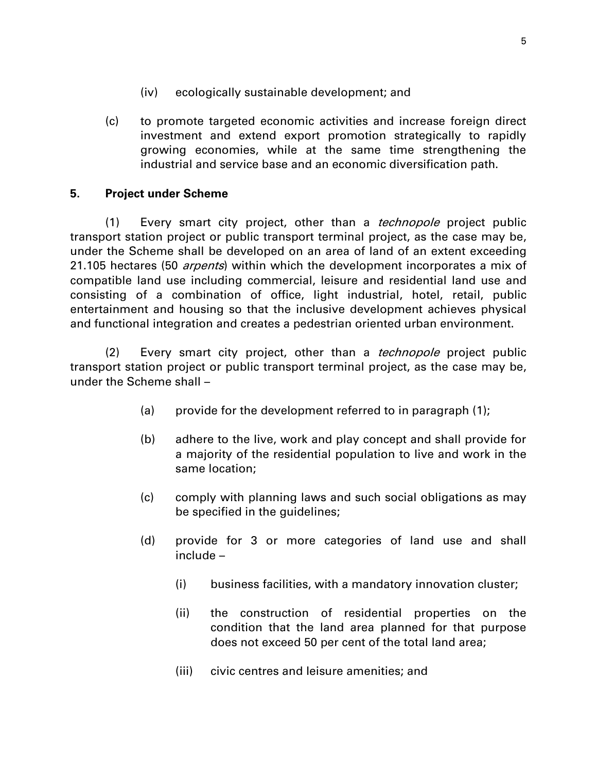- (iv) ecologically sustainable development; and
- (c) to promote targeted economic activities and increase foreign direct investment and extend export promotion strategically to rapidly growing economies, while at the same time strengthening the industrial and service base and an economic diversification path.

#### **5. Project under Scheme**

(1) Every smart city project, other than a *technopole* project public transport station project or public transport terminal project, as the case may be, under the Scheme shall be developed on an area of land of an extent exceeding 21.105 hectares (50 *arpents*) within which the development incorporates a mix of compatible land use including commercial, leisure and residential land use and consisting of a combination of office, light industrial, hotel, retail, public entertainment and housing so that the inclusive development achieves physical and functional integration and creates a pedestrian oriented urban environment.

(2) Every smart city project, other than a *technopole* project public transport station project or public transport terminal project, as the case may be, under the Scheme shall –

- (a) provide for the development referred to in paragraph (1);
- (b) adhere to the live, work and play concept and shall provide for a majority of the residential population to live and work in the same location;
- (c) comply with planning laws and such social obligations as may be specified in the guidelines;
- (d) provide for 3 or more categories of land use and shall include –
	- (i) business facilities, with a mandatory innovation cluster;
	- (ii) the construction of residential properties on the condition that the land area planned for that purpose does not exceed 50 per cent of the total land area;
	- (iii) civic centres and leisure amenities; and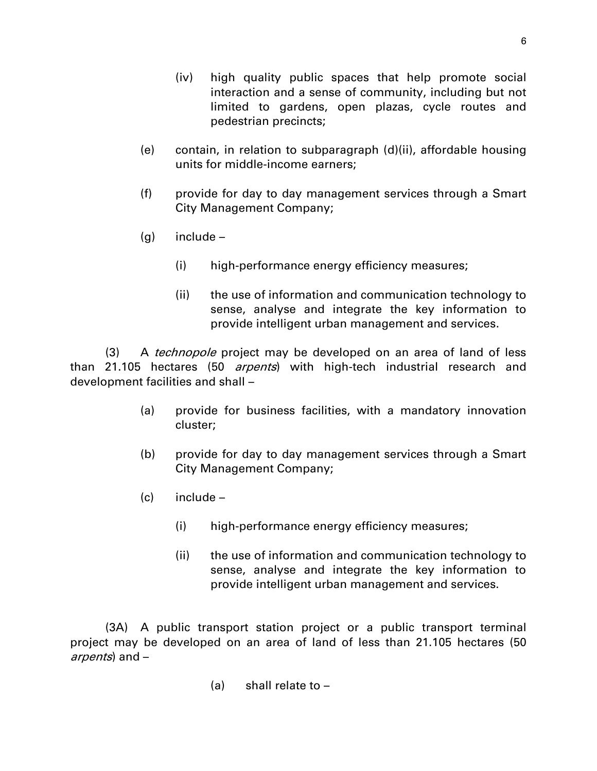- (iv) high quality public spaces that help promote social interaction and a sense of community, including but not limited to gardens, open plazas, cycle routes and pedestrian precincts;
- (e) contain, in relation to subparagraph (d)(ii), affordable housing units for middle-income earners;
- (f) provide for day to day management services through a Smart City Management Company;
- (g) include
	- (i) high-performance energy efficiency measures;
	- (ii) the use of information and communication technology to sense, analyse and integrate the key information to provide intelligent urban management and services.

(3) A *technopole* project may be developed on an area of land of less than 21.105 hectares (50 arpents) with high-tech industrial research and development facilities and shall –

- (a) provide for business facilities, with a mandatory innovation cluster;
- (b) provide for day to day management services through a Smart City Management Company;
- (c) include
	- (i) high-performance energy efficiency measures;
	- (ii) the use of information and communication technology to sense, analyse and integrate the key information to provide intelligent urban management and services.

(3A) A public transport station project or a public transport terminal project may be developed on an area of land of less than 21.105 hectares (50 arpents) and –

(a) shall relate to –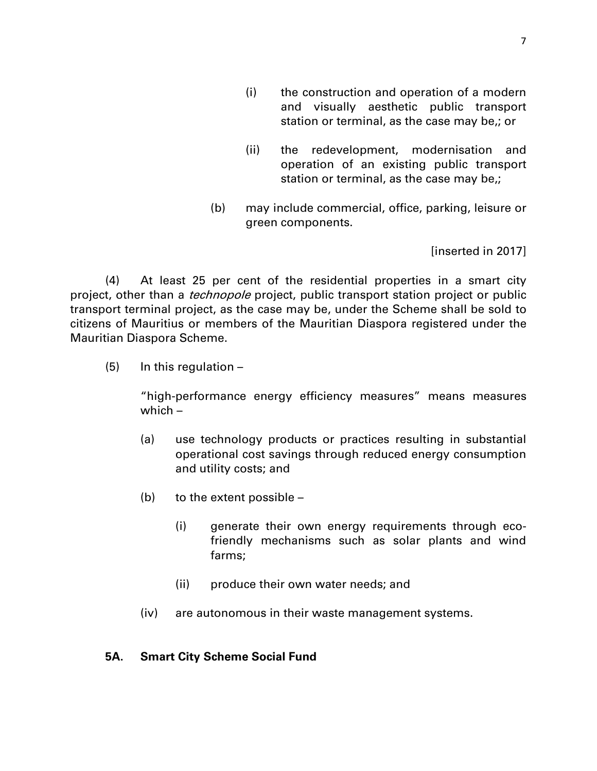- (i) the construction and operation of a modern and visually aesthetic public transport station or terminal, as the case may be,; or
- (ii) the redevelopment, modernisation and operation of an existing public transport station or terminal, as the case may be,;
- (b) may include commercial, office, parking, leisure or green components.

[inserted in 2017]

(4) At least 25 per cent of the residential properties in a smart city project, other than a *technopole* project, public transport station project or public transport terminal project, as the case may be, under the Scheme shall be sold to citizens of Mauritius or members of the Mauritian Diaspora registered under the Mauritian Diaspora Scheme.

 $(5)$  In this regulation –

"high-performance energy efficiency measures" means measures which –

- (a) use technology products or practices resulting in substantial operational cost savings through reduced energy consumption and utility costs; and
- (b) to the extent possible
	- (i) generate their own energy requirements through ecofriendly mechanisms such as solar plants and wind farms;
	- (ii) produce their own water needs; and
- (iv) are autonomous in their waste management systems.

#### **5A. Smart City Scheme Social Fund**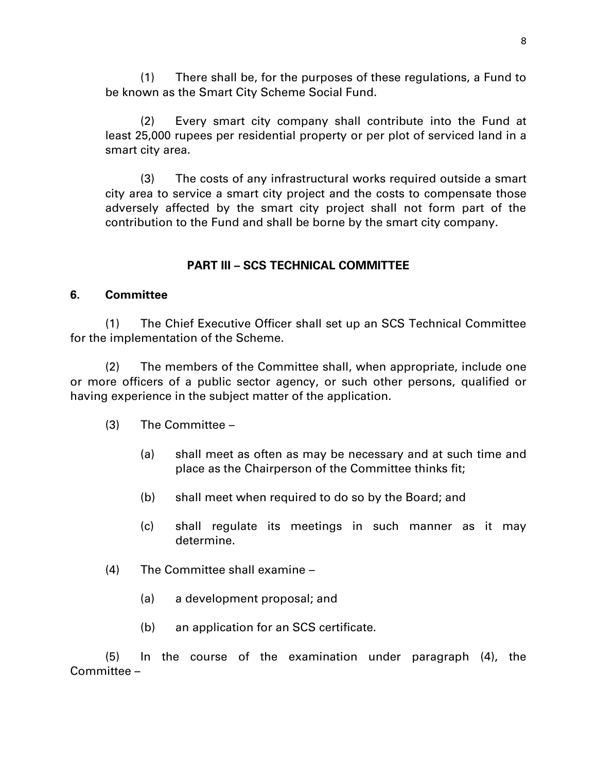(1) There shall be, for the purposes of these regulations, a Fund to be known as the Smart City Scheme Social Fund.

(2) Every smart city company shall contribute into the Fund at least 25,000 rupees per residential property or per plot of serviced land in a smart city area.

(3) The costs of any infrastructural works required outside a smart city area to service a smart city project and the costs to compensate those adversely affected by the smart city project shall not form part of the contribution to the Fund and shall be borne by the smart city company.

## **PART III – SCS TECHNICAL COMMITTEE**

#### **6. Committee**

(1) The Chief Executive Officer shall set up an SCS Technical Committee for the implementation of the Scheme.

(2) The members of the Committee shall, when appropriate, include one or more officers of a public sector agency, or such other persons, qualified or having experience in the subject matter of the application.

- (3) The Committee
	- (a) shall meet as often as may be necessary and at such time and place as the Chairperson of the Committee thinks fit;
	- (b) shall meet when required to do so by the Board; and
	- (c) shall regulate its meetings in such manner as it may determine.
- (4) The Committee shall examine
	- (a) a development proposal; and
	- (b) an application for an SCS certificate.

(5) In the course of the examination under paragraph (4), the Committee –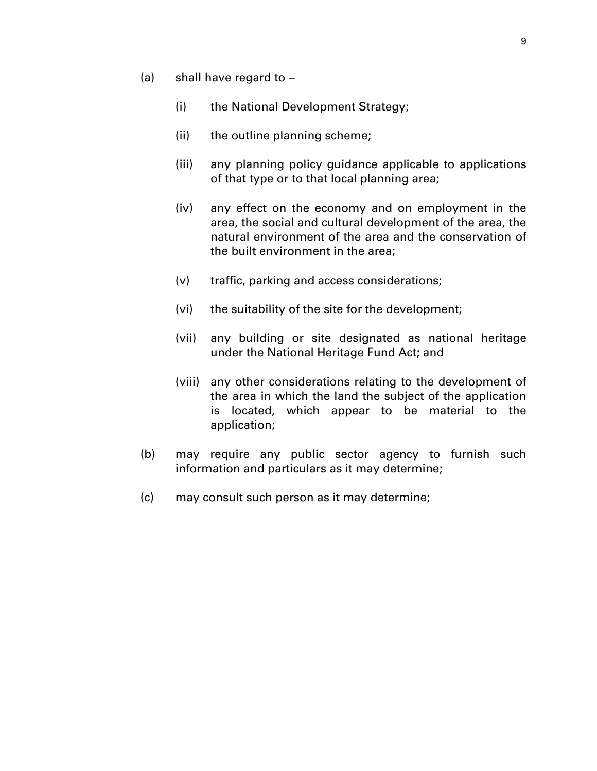- (a) shall have regard to
	- (i) the National Development Strategy;
	- (ii) the outline planning scheme;
	- (iii) any planning policy guidance applicable to applications of that type or to that local planning area;
	- (iv) any effect on the economy and on employment in the area, the social and cultural development of the area, the natural environment of the area and the conservation of the built environment in the area;
	- (v) traffic, parking and access considerations;
	- (vi) the suitability of the site for the development;
	- (vii) any building or site designated as national heritage under the National Heritage Fund Act; and
	- (viii) any other considerations relating to the development of the area in which the land the subject of the application is located, which appear to be material to the application;
- (b) may require any public sector agency to furnish such information and particulars as it may determine;
- (c) may consult such person as it may determine;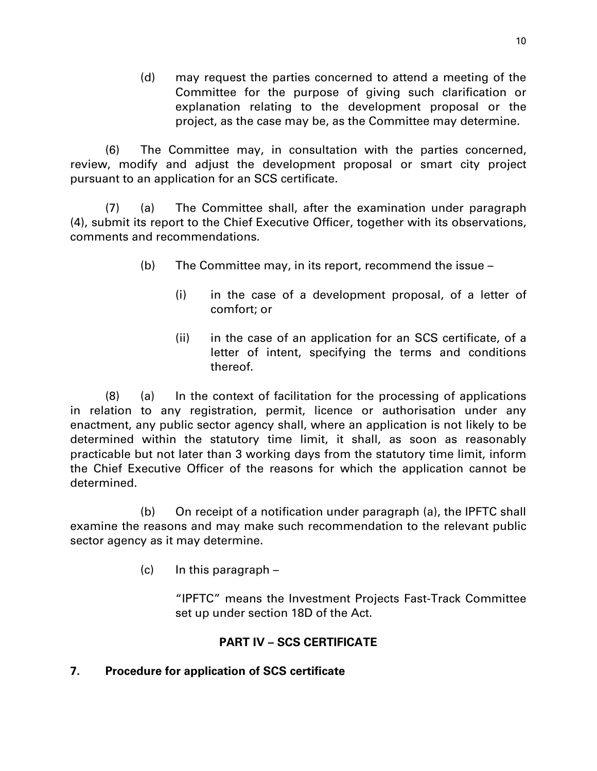(d) may request the parties concerned to attend a meeting of the Committee for the purpose of giving such clarification or explanation relating to the development proposal or the project, as the case may be, as the Committee may determine.

(6) The Committee may, in consultation with the parties concerned, review, modify and adjust the development proposal or smart city project pursuant to an application for an SCS certificate.

(7) (a) The Committee shall, after the examination under paragraph (4), submit its report to the Chief Executive Officer, together with its observations, comments and recommendations.

- (b) The Committee may, in its report, recommend the issue
	- (i) in the case of a development proposal, of a letter of comfort; or
	- (ii) in the case of an application for an SCS certificate, of a letter of intent, specifying the terms and conditions thereof.

(8) (a) In the context of facilitation for the processing of applications in relation to any registration, permit, licence or authorisation under any enactment, any public sector agency shall, where an application is not likely to be determined within the statutory time limit, it shall, as soon as reasonably practicable but not later than 3 working days from the statutory time limit, inform the Chief Executive Officer of the reasons for which the application cannot be determined.

(b) On receipt of a notification under paragraph (a), the IPFTC shall examine the reasons and may make such recommendation to the relevant public sector agency as it may determine.

 $(c)$  In this paragraph –

"IPFTC" means the Investment Projects Fast-Track Committee set up under section 18D of the Act.

# **PART IV – SCS CERTIFICATE**

## **7. Procedure for application of SCS certificate**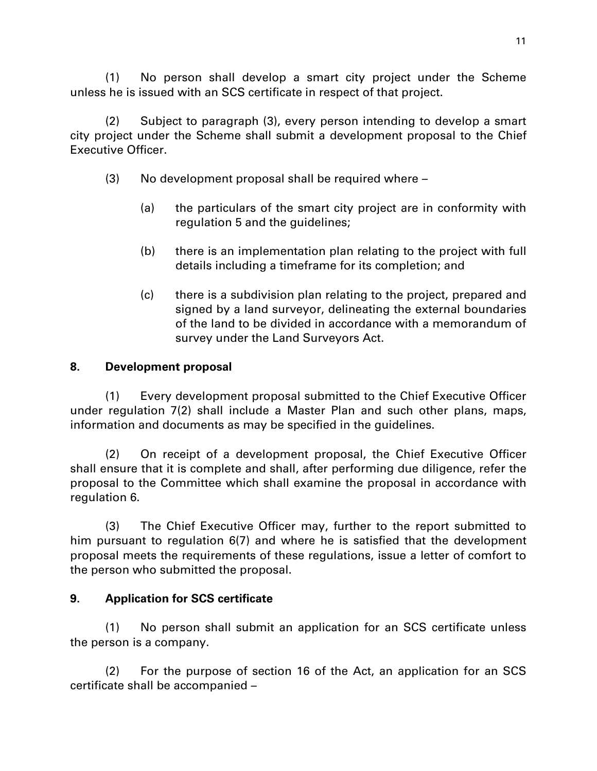(1) No person shall develop a smart city project under the Scheme unless he is issued with an SCS certificate in respect of that project.

(2) Subject to paragraph (3), every person intending to develop a smart city project under the Scheme shall submit a development proposal to the Chief Executive Officer.

- (3) No development proposal shall be required where
	- (a) the particulars of the smart city project are in conformity with regulation 5 and the guidelines;
	- (b) there is an implementation plan relating to the project with full details including a timeframe for its completion; and
	- (c) there is a subdivision plan relating to the project, prepared and signed by a land surveyor, delineating the external boundaries of the land to be divided in accordance with a memorandum of survey under the Land Surveyors Act.

## **8. Development proposal**

(1) Every development proposal submitted to the Chief Executive Officer under regulation 7(2) shall include a Master Plan and such other plans, maps, information and documents as may be specified in the guidelines.

(2) On receipt of a development proposal, the Chief Executive Officer shall ensure that it is complete and shall, after performing due diligence, refer the proposal to the Committee which shall examine the proposal in accordance with regulation 6.

(3) The Chief Executive Officer may, further to the report submitted to him pursuant to regulation 6(7) and where he is satisfied that the development proposal meets the requirements of these regulations, issue a letter of comfort to the person who submitted the proposal.

# **9. Application for SCS certificate**

(1) No person shall submit an application for an SCS certificate unless the person is a company.

(2) For the purpose of section 16 of the Act, an application for an SCS certificate shall be accompanied –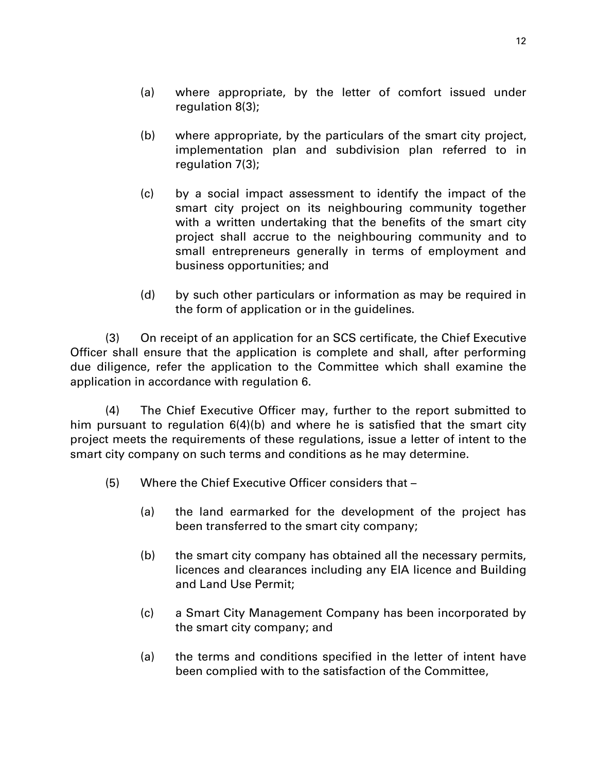- (b) where appropriate, by the particulars of the smart city project, implementation plan and subdivision plan referred to in regulation 7(3);
- (c) by a social impact assessment to identify the impact of the smart city project on its neighbouring community together with a written undertaking that the benefits of the smart city project shall accrue to the neighbouring community and to small entrepreneurs generally in terms of employment and business opportunities; and
- (d) by such other particulars or information as may be required in the form of application or in the guidelines.

(3) On receipt of an application for an SCS certificate, the Chief Executive Officer shall ensure that the application is complete and shall, after performing due diligence, refer the application to the Committee which shall examine the application in accordance with regulation 6.

(4) The Chief Executive Officer may, further to the report submitted to him pursuant to regulation 6(4)(b) and where he is satisfied that the smart city project meets the requirements of these regulations, issue a letter of intent to the smart city company on such terms and conditions as he may determine.

- (5) Where the Chief Executive Officer considers that
	- (a) the land earmarked for the development of the project has been transferred to the smart city company;
	- (b) the smart city company has obtained all the necessary permits, licences and clearances including any EIA licence and Building and Land Use Permit;
	- (c) a Smart City Management Company has been incorporated by the smart city company; and
	- (a) the terms and conditions specified in the letter of intent have been complied with to the satisfaction of the Committee,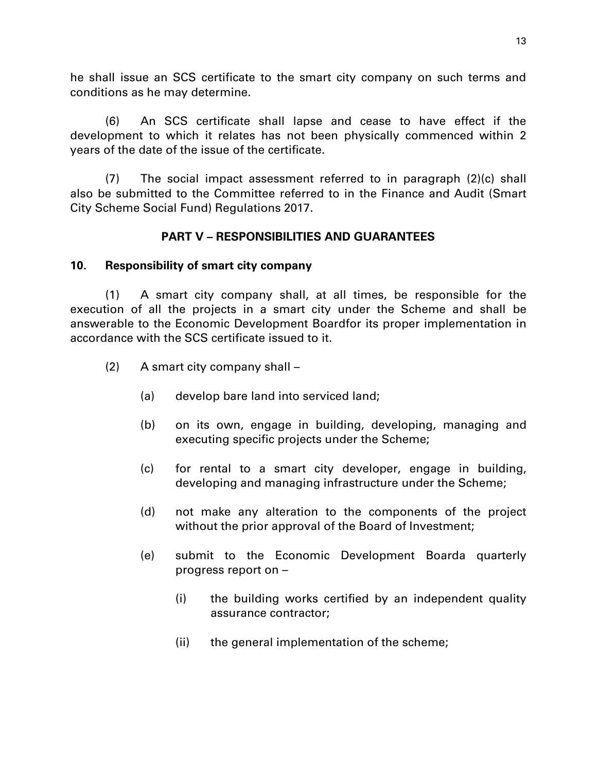he shall issue an SCS certificate to the smart city company on such terms and conditions as he may determine.

(6) An SCS certificate shall lapse and cease to have effect if the development to which it relates has not been physically commenced within 2 years of the date of the issue of the certificate.

 $(7)$  The social impact assessment referred to in paragraph  $(2)(c)$  shall also be submitted to the Committee referred to in the Finance and Audit (Smart City Scheme Social Fund) Regulations 2017.

## **PART V – RESPONSIBILITIES AND GUARANTEES**

## **10. Responsibility of smart city company**

(1) A smart city company shall, at all times, be responsible for the execution of all the projects in a smart city under the Scheme and shall be answerable to the Economic Development Boardfor its proper implementation in accordance with the SCS certificate issued to it.

- (2) A smart city company shall
	- (a) develop bare land into serviced land;
	- (b) on its own, engage in building, developing, managing and executing specific projects under the Scheme;
	- (c) for rental to a smart city developer, engage in building, developing and managing infrastructure under the Scheme;
	- (d) not make any alteration to the components of the project without the prior approval of the Board of Investment;
	- (e) submit to the Economic Development Boarda quarterly progress report on –
		- (i) the building works certified by an independent quality assurance contractor;
		- (ii) the general implementation of the scheme;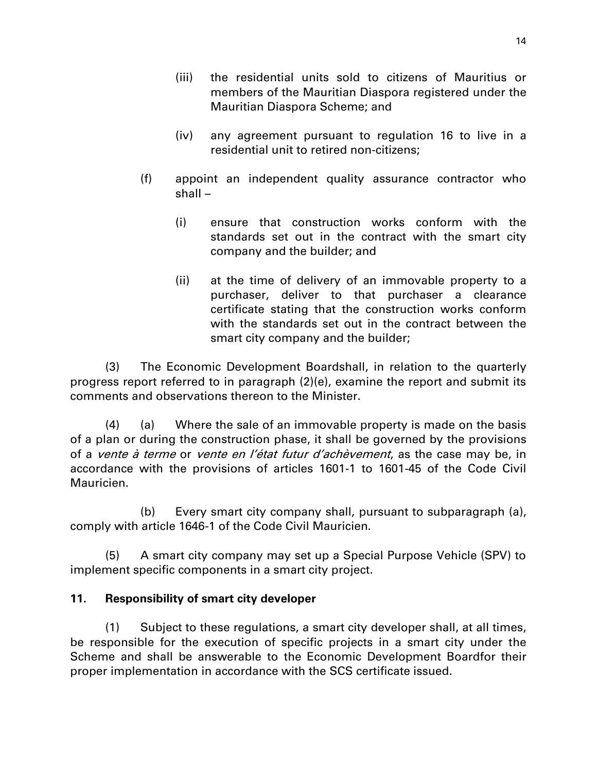- (iv) any agreement pursuant to regulation 16 to live in a residential unit to retired non-citizens;
- (f) appoint an independent quality assurance contractor who shall –
	- (i) ensure that construction works conform with the standards set out in the contract with the smart city company and the builder; and
	- (ii) at the time of delivery of an immovable property to a purchaser, deliver to that purchaser a clearance certificate stating that the construction works conform with the standards set out in the contract between the smart city company and the builder;

(3) The Economic Development Boardshall, in relation to the quarterly progress report referred to in paragraph (2)(e), examine the report and submit its comments and observations thereon to the Minister.

(4) (a) Where the sale of an immovable property is made on the basis of a plan or during the construction phase, it shall be governed by the provisions of a *vente à terme* or *vente en l'état futur d'achèvement*, as the case may be, in accordance with the provisions of articles 1601-1 to 1601-45 of the Code Civil Mauricien.

(b) Every smart city company shall, pursuant to subparagraph (a), comply with article 1646-1 of the Code Civil Mauricien.

(5) A smart city company may set up a Special Purpose Vehicle (SPV) to implement specific components in a smart city project.

# **11. Responsibility of smart city developer**

(1) Subject to these regulations, a smart city developer shall, at all times, be responsible for the execution of specific projects in a smart city under the Scheme and shall be answerable to the Economic Development Boardfor their proper implementation in accordance with the SCS certificate issued.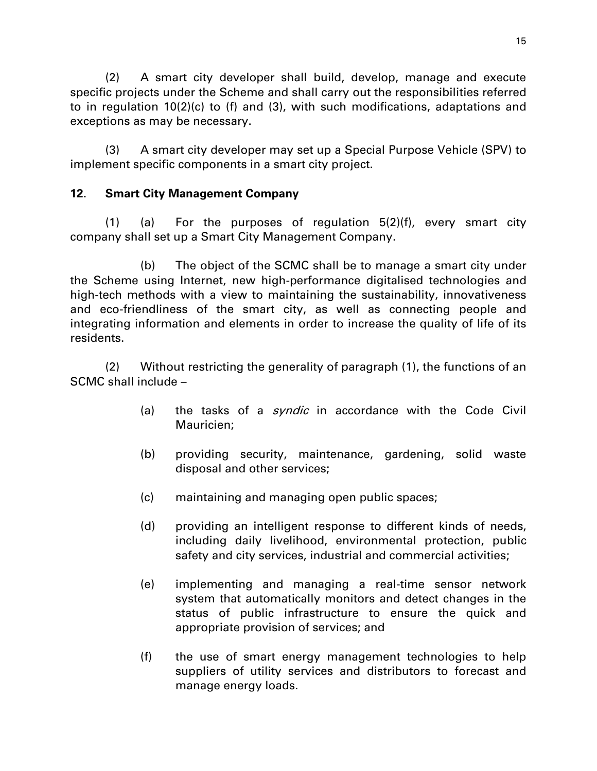(2) A smart city developer shall build, develop, manage and execute specific projects under the Scheme and shall carry out the responsibilities referred to in regulation 10(2)(c) to (f) and (3), with such modifications, adaptations and exceptions as may be necessary.

(3) A smart city developer may set up a Special Purpose Vehicle (SPV) to implement specific components in a smart city project.

## **12. Smart City Management Company**

(1) (a) For the purposes of regulation 5(2)(f), every smart city company shall set up a Smart City Management Company.

(b) The object of the SCMC shall be to manage a smart city under the Scheme using Internet, new high-performance digitalised technologies and high-tech methods with a view to maintaining the sustainability, innovativeness and eco-friendliness of the smart city, as well as connecting people and integrating information and elements in order to increase the quality of life of its residents.

(2) Without restricting the generality of paragraph (1), the functions of an SCMC shall include –

- (a) the tasks of a *syndic* in accordance with the Code Civil Mauricien;
- (b) providing security, maintenance, gardening, solid waste disposal and other services;
- (c) maintaining and managing open public spaces;
- (d) providing an intelligent response to different kinds of needs, including daily livelihood, environmental protection, public safety and city services, industrial and commercial activities;
- (e) implementing and managing a real-time sensor network system that automatically monitors and detect changes in the status of public infrastructure to ensure the quick and appropriate provision of services; and
- (f) the use of smart energy management technologies to help suppliers of utility services and distributors to forecast and manage energy loads.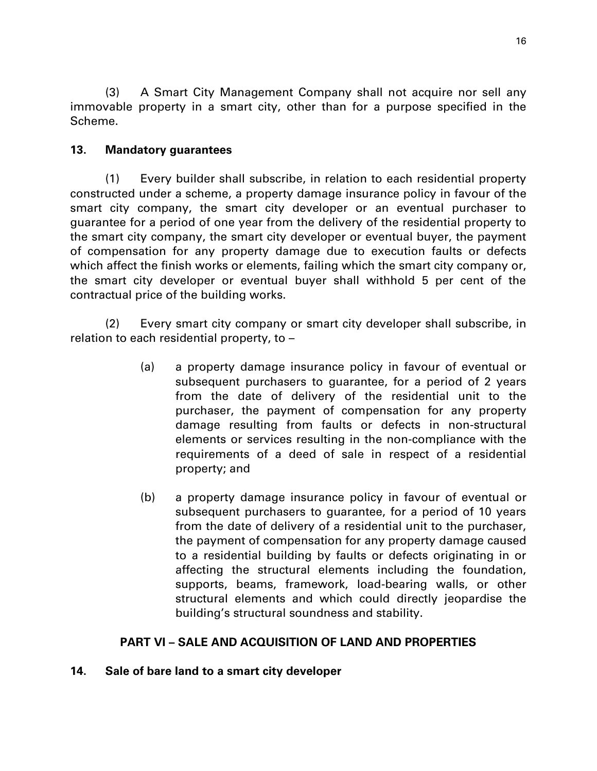(3) A Smart City Management Company shall not acquire nor sell any immovable property in a smart city, other than for a purpose specified in the Scheme.

## **13. Mandatory guarantees**

(1) Every builder shall subscribe, in relation to each residential property constructed under a scheme, a property damage insurance policy in favour of the smart city company, the smart city developer or an eventual purchaser to guarantee for a period of one year from the delivery of the residential property to the smart city company, the smart city developer or eventual buyer, the payment of compensation for any property damage due to execution faults or defects which affect the finish works or elements, failing which the smart city company or, the smart city developer or eventual buyer shall withhold 5 per cent of the contractual price of the building works.

(2) Every smart city company or smart city developer shall subscribe, in relation to each residential property, to –

- (a) a property damage insurance policy in favour of eventual or subsequent purchasers to guarantee, for a period of 2 years from the date of delivery of the residential unit to the purchaser, the payment of compensation for any property damage resulting from faults or defects in non-structural elements or services resulting in the non-compliance with the requirements of a deed of sale in respect of a residential property; and
- (b) a property damage insurance policy in favour of eventual or subsequent purchasers to guarantee, for a period of 10 years from the date of delivery of a residential unit to the purchaser, the payment of compensation for any property damage caused to a residential building by faults or defects originating in or affecting the structural elements including the foundation, supports, beams, framework, load-bearing walls, or other structural elements and which could directly jeopardise the building's structural soundness and stability.

# **PART VI – SALE AND ACQUISITION OF LAND AND PROPERTIES**

#### **14. Sale of bare land to a smart city developer**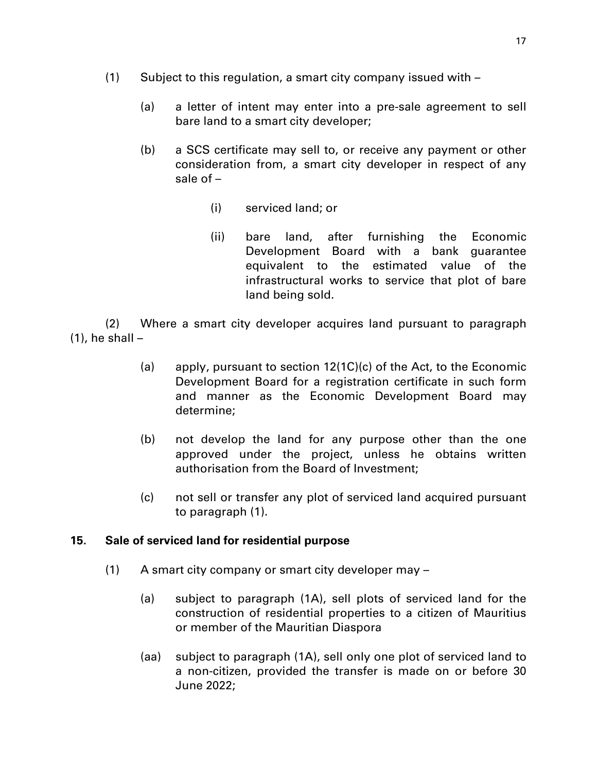- (1) Subject to this regulation, a smart city company issued with
	- (a) a letter of intent may enter into a pre-sale agreement to sell bare land to a smart city developer;
	- (b) a SCS certificate may sell to, or receive any payment or other consideration from, a smart city developer in respect of any sale of –
		- (i) serviced land; or
		- (ii) bare land, after furnishing the Economic Development Board with a bank guarantee equivalent to the estimated value of the infrastructural works to service that plot of bare land being sold.

(2) Where a smart city developer acquires land pursuant to paragraph  $(1)$ , he shall  $-$ 

- (a) apply, pursuant to section  $12(1C)(c)$  of the Act, to the Economic Development Board for a registration certificate in such form and manner as the Economic Development Board may determine;
- (b) not develop the land for any purpose other than the one approved under the project, unless he obtains written authorisation from the Board of Investment;
- (c) not sell or transfer any plot of serviced land acquired pursuant to paragraph (1).

#### **15. Sale of serviced land for residential purpose**

- (1) A smart city company or smart city developer may
	- (a) subject to paragraph (1A), sell plots of serviced land for the construction of residential properties to a citizen of Mauritius or member of the Mauritian Diaspora
	- (aa) subject to paragraph (1A), sell only one plot of serviced land to a non-citizen, provided the transfer is made on or before 30 June 2022;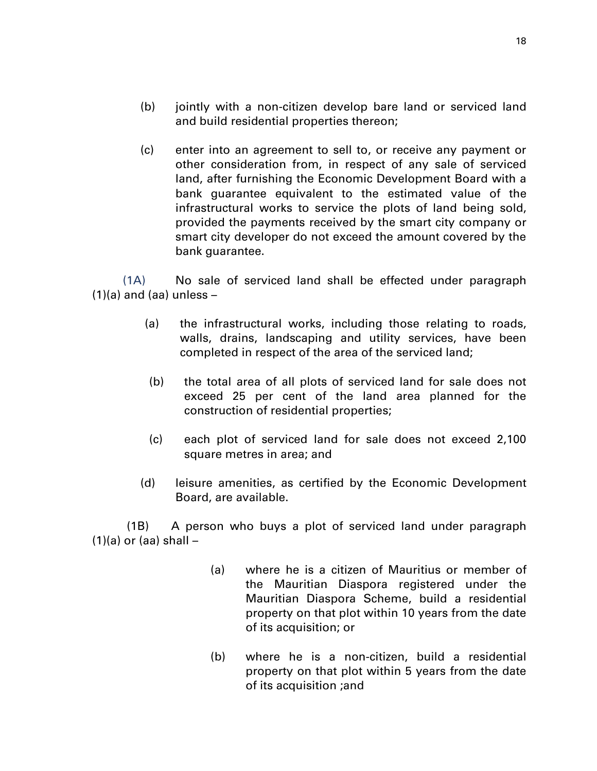- (b) jointly with a non-citizen develop bare land or serviced land and build residential properties thereon;
- (c) enter into an agreement to sell to, or receive any payment or other consideration from, in respect of any sale of serviced land, after furnishing the Economic Development Board with a bank guarantee equivalent to the estimated value of the infrastructural works to service the plots of land being sold, provided the payments received by the smart city company or smart city developer do not exceed the amount covered by the bank guarantee.

(1A) No sale of serviced land shall be effected under paragraph  $(1)(a)$  and  $(aa)$  unless  $-$ 

- (a) the infrastructural works, including those relating to roads, walls, drains, landscaping and utility services, have been completed in respect of the area of the serviced land;
- (b) the total area of all plots of serviced land for sale does not exceed 25 per cent of the land area planned for the construction of residential properties;
- (c) each plot of serviced land for sale does not exceed 2,100 square metres in area; and
- (d) leisure amenities, as certified by the Economic Development Board, are available.

 (1B) A person who buys a plot of serviced land under paragraph  $(1)(a)$  or  $(aa)$  shall  $-$ 

- (a) where he is a citizen of Mauritius or member of the Mauritian Diaspora registered under the Mauritian Diaspora Scheme, build a residential property on that plot within 10 years from the date of its acquisition; or
- (b) where he is a non-citizen, build a residential property on that plot within 5 years from the date of its acquisition ;and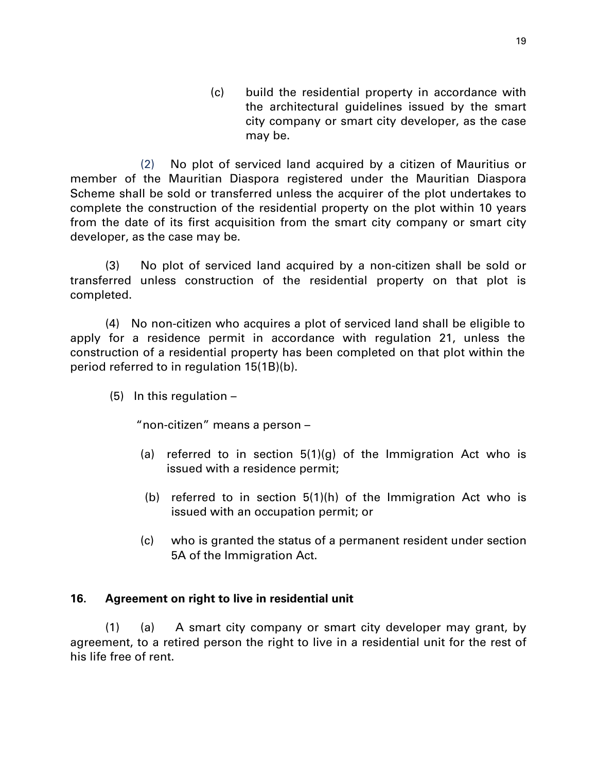(c) build the residential property in accordance with the architectural guidelines issued by the smart city company or smart city developer, as the case may be.

(2) No plot of serviced land acquired by a citizen of Mauritius or member of the Mauritian Diaspora registered under the Mauritian Diaspora Scheme shall be sold or transferred unless the acquirer of the plot undertakes to complete the construction of the residential property on the plot within 10 years from the date of its first acquisition from the smart city company or smart city developer, as the case may be.

(3) No plot of serviced land acquired by a non-citizen shall be sold or transferred unless construction of the residential property on that plot is completed.

(4) No non-citizen who acquires a plot of serviced land shall be eligible to apply for a residence permit in accordance with regulation 21, unless the construction of a residential property has been completed on that plot within the period referred to in regulation 15(1B)(b).

 $(5)$  In this regulation –

"non-citizen" means a person –

- (a) referred to in section  $5(1)(g)$  of the Immigration Act who is issued with a residence permit;
- (b) referred to in section 5(1)(h) of the Immigration Act who is issued with an occupation permit; or
- (c) who is granted the status of a permanent resident under section 5A of the Immigration Act.

#### **16. Agreement on right to live in residential unit**

(1) (a) A smart city company or smart city developer may grant, by agreement, to a retired person the right to live in a residential unit for the rest of his life free of rent.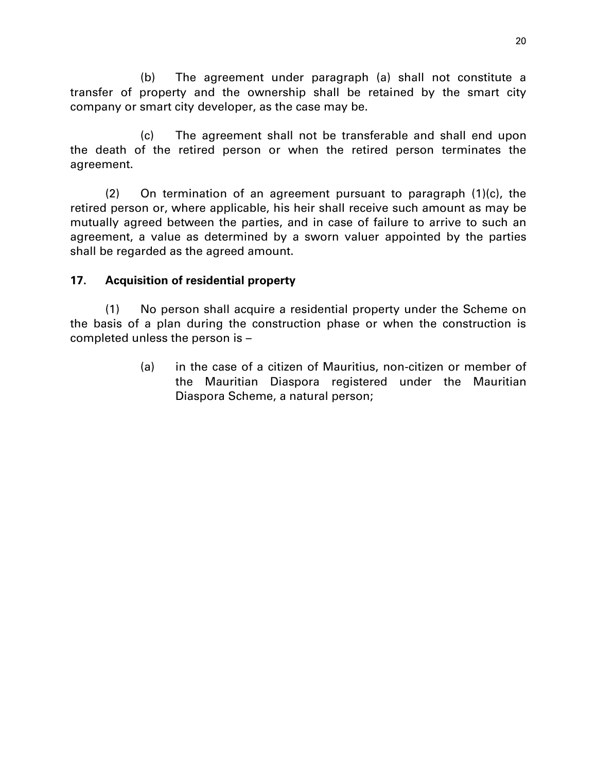(b) The agreement under paragraph (a) shall not constitute a transfer of property and the ownership shall be retained by the smart city company or smart city developer, as the case may be.

(c) The agreement shall not be transferable and shall end upon the death of the retired person or when the retired person terminates the agreement.

(2) On termination of an agreement pursuant to paragraph (1)(c), the retired person or, where applicable, his heir shall receive such amount as may be mutually agreed between the parties, and in case of failure to arrive to such an agreement, a value as determined by a sworn valuer appointed by the parties shall be regarded as the agreed amount.

## **17. Acquisition of residential property**

(1) No person shall acquire a residential property under the Scheme on the basis of a plan during the construction phase or when the construction is completed unless the person is –

> (a) in the case of a citizen of Mauritius, non-citizen or member of the Mauritian Diaspora registered under the Mauritian Diaspora Scheme, a natural person;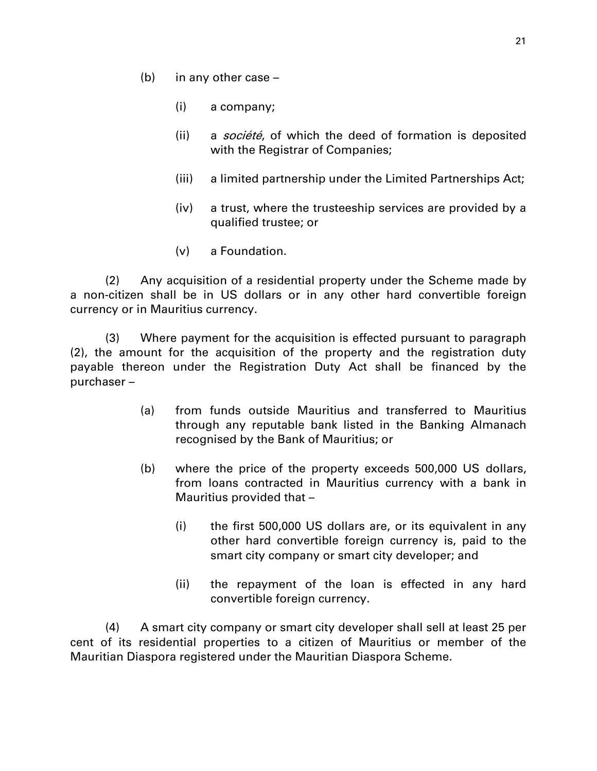- (b) in any other case
	- (i) a company;
	- (ii) a *société*, of which the deed of formation is deposited with the Registrar of Companies;
	- (iii) a limited partnership under the Limited Partnerships Act;
	- (iv) a trust, where the trusteeship services are provided by a qualified trustee; or
	- (v) a Foundation.

(2) Any acquisition of a residential property under the Scheme made by a non-citizen shall be in US dollars or in any other hard convertible foreign currency or in Mauritius currency.

(3) Where payment for the acquisition is effected pursuant to paragraph (2), the amount for the acquisition of the property and the registration duty payable thereon under the Registration Duty Act shall be financed by the purchaser –

- (a) from funds outside Mauritius and transferred to Mauritius through any reputable bank listed in the Banking Almanach recognised by the Bank of Mauritius; or
- (b) where the price of the property exceeds 500,000 US dollars, from loans contracted in Mauritius currency with a bank in Mauritius provided that –
	- (i) the first 500,000 US dollars are, or its equivalent in any other hard convertible foreign currency is, paid to the smart city company or smart city developer; and
	- (ii) the repayment of the loan is effected in any hard convertible foreign currency.

(4) A smart city company or smart city developer shall sell at least 25 per cent of its residential properties to a citizen of Mauritius or member of the Mauritian Diaspora registered under the Mauritian Diaspora Scheme.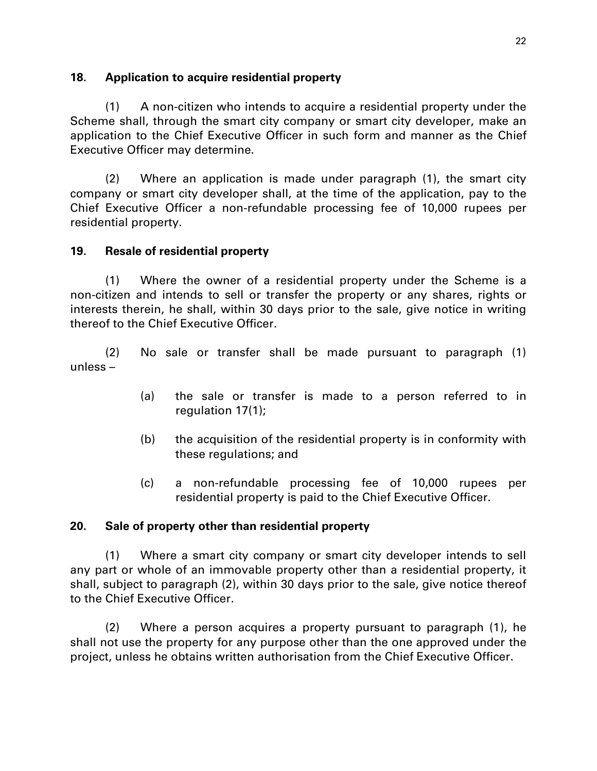### **18. Application to acquire residential property**

(1) A non-citizen who intends to acquire a residential property under the Scheme shall, through the smart city company or smart city developer, make an application to the Chief Executive Officer in such form and manner as the Chief Executive Officer may determine.

(2) Where an application is made under paragraph (1), the smart city company or smart city developer shall, at the time of the application, pay to the Chief Executive Officer a non-refundable processing fee of 10,000 rupees per residential property.

## **19. Resale of residential property**

(1) Where the owner of a residential property under the Scheme is a non-citizen and intends to sell or transfer the property or any shares, rights or interests therein, he shall, within 30 days prior to the sale, give notice in writing thereof to the Chief Executive Officer.

(2) No sale or transfer shall be made pursuant to paragraph (1) unless –

- (a) the sale or transfer is made to a person referred to in regulation 17(1);
- (b) the acquisition of the residential property is in conformity with these regulations; and
- (c) a non-refundable processing fee of 10,000 rupees per residential property is paid to the Chief Executive Officer.

## **20. Sale of property other than residential property**

(1) Where a smart city company or smart city developer intends to sell any part or whole of an immovable property other than a residential property, it shall, subject to paragraph (2), within 30 days prior to the sale, give notice thereof to the Chief Executive Officer.

(2) Where a person acquires a property pursuant to paragraph (1), he shall not use the property for any purpose other than the one approved under the project, unless he obtains written authorisation from the Chief Executive Officer.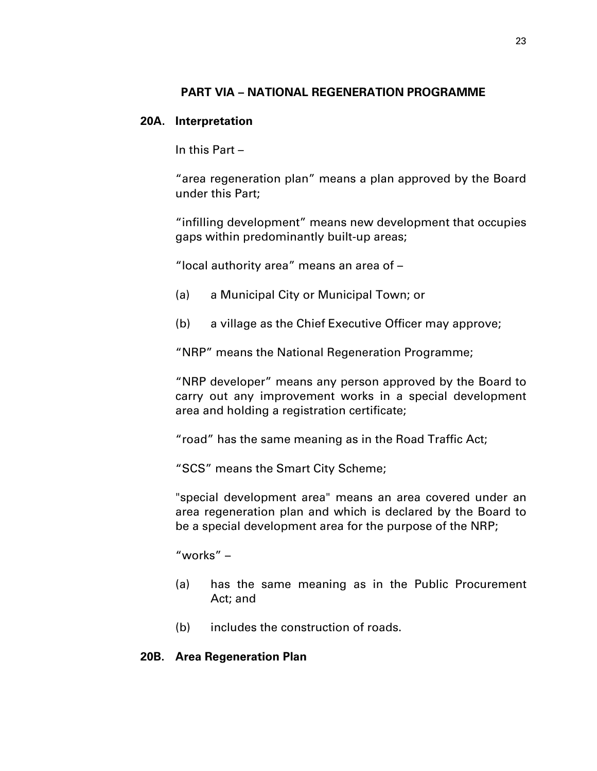## **PART VIA – NATIONAL REGENERATION PROGRAMME**

#### **20A. Interpretation**

In this Part –

"area regeneration plan" means a plan approved by the Board under this Part;

"infilling development" means new development that occupies gaps within predominantly built-up areas;

"local authority area" means an area of –

- (a) a Municipal City or Municipal Town; or
- (b) a village as the Chief Executive Officer may approve;

"NRP" means the National Regeneration Programme;

"NRP developer" means any person approved by the Board to carry out any improvement works in a special development area and holding a registration certificate;

"road" has the same meaning as in the Road Traffic Act;

"SCS" means the Smart City Scheme;

"special development area" means an area covered under an area regeneration plan and which is declared by the Board to be a special development area for the purpose of the NRP;

"works" –

- (a) has the same meaning as in the Public Procurement Act; and
- (b) includes the construction of roads.

#### **20B. Area Regeneration Plan**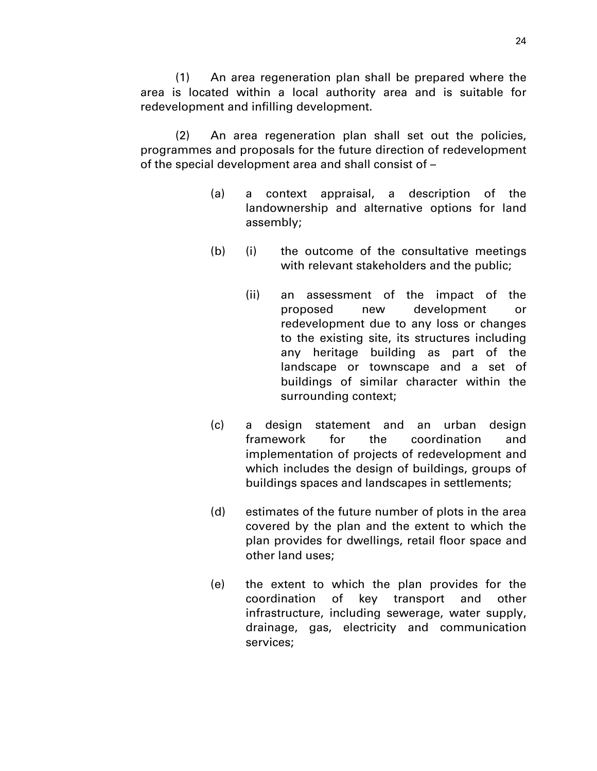(1) An area regeneration plan shall be prepared where the area is located within a local authority area and is suitable for redevelopment and infilling development.

(2) An area regeneration plan shall set out the policies, programmes and proposals for the future direction of redevelopment of the special development area and shall consist of –

- (a) a context appraisal, a description of the landownership and alternative options for land assembly;
- (b) (i) the outcome of the consultative meetings with relevant stakeholders and the public;
	- (ii) an assessment of the impact of the proposed new development or redevelopment due to any loss or changes to the existing site, its structures including any heritage building as part of the landscape or townscape and a set of buildings of similar character within the surrounding context;
- (c) a design statement and an urban design framework for the coordination and implementation of projects of redevelopment and which includes the design of buildings, groups of buildings spaces and landscapes in settlements;
- (d) estimates of the future number of plots in the area covered by the plan and the extent to which the plan provides for dwellings, retail floor space and other land uses;
- (e) the extent to which the plan provides for the coordination of key transport and other infrastructure, including sewerage, water supply, drainage, gas, electricity and communication services;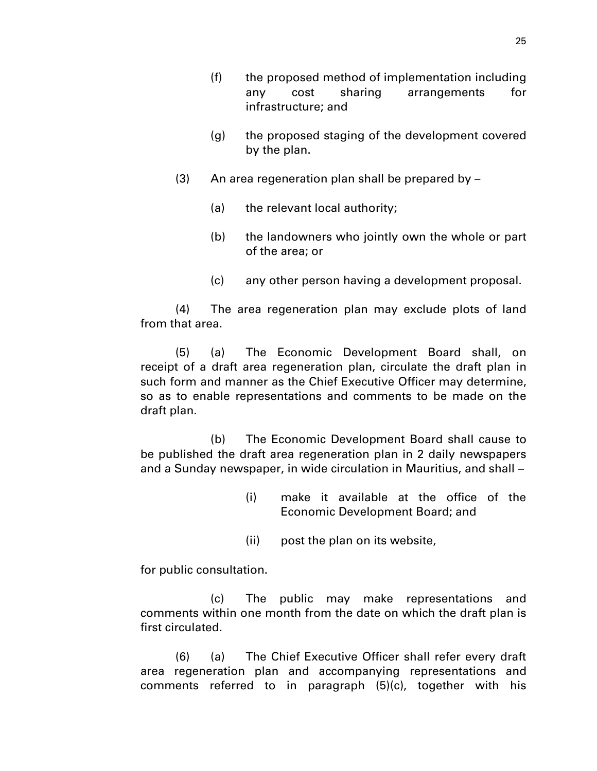- (f) the proposed method of implementation including any cost sharing arrangements for infrastructure; and
- (g) the proposed staging of the development covered by the plan.
- (3) An area regeneration plan shall be prepared by
	- (a) the relevant local authority;
	- (b) the landowners who jointly own the whole or part of the area; or
	- (c) any other person having a development proposal.

(4) The area regeneration plan may exclude plots of land from that area.

(5) (a) The Economic Development Board shall, on receipt of a draft area regeneration plan, circulate the draft plan in such form and manner as the Chief Executive Officer may determine, so as to enable representations and comments to be made on the draft plan.

(b) The Economic Development Board shall cause to be published the draft area regeneration plan in 2 daily newspapers and a Sunday newspaper, in wide circulation in Mauritius, and shall –

- (i) make it available at the office of the Economic Development Board; and
- (ii) post the plan on its website,

for public consultation.

(c) The public may make representations and comments within one month from the date on which the draft plan is first circulated.

(6) (a) The Chief Executive Officer shall refer every draft area regeneration plan and accompanying representations and comments referred to in paragraph (5)(c), together with his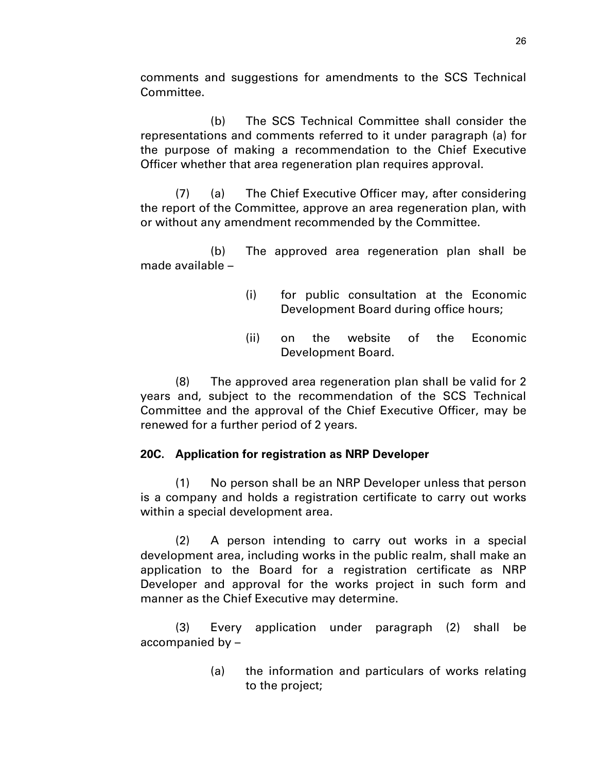comments and suggestions for amendments to the SCS Technical Committee.

(b) The SCS Technical Committee shall consider the representations and comments referred to it under paragraph (a) for the purpose of making a recommendation to the Chief Executive Officer whether that area regeneration plan requires approval.

(7) (a) The Chief Executive Officer may, after considering the report of the Committee, approve an area regeneration plan, with or without any amendment recommended by the Committee.

(b) The approved area regeneration plan shall be made available –

- (i) for public consultation at the Economic Development Board during office hours;
- (ii) on the website of the Economic Development Board.

(8) The approved area regeneration plan shall be valid for 2 years and, subject to the recommendation of the SCS Technical Committee and the approval of the Chief Executive Officer, may be renewed for a further period of 2 years.

## **20C. Application for registration as NRP Developer**

(1) No person shall be an NRP Developer unless that person is a company and holds a registration certificate to carry out works within a special development area.

(2) A person intending to carry out works in a special development area, including works in the public realm, shall make an application to the Board for a registration certificate as NRP Developer and approval for the works project in such form and manner as the Chief Executive may determine.

(3) Every application under paragraph (2) shall be accompanied by –

> (a) the information and particulars of works relating to the project;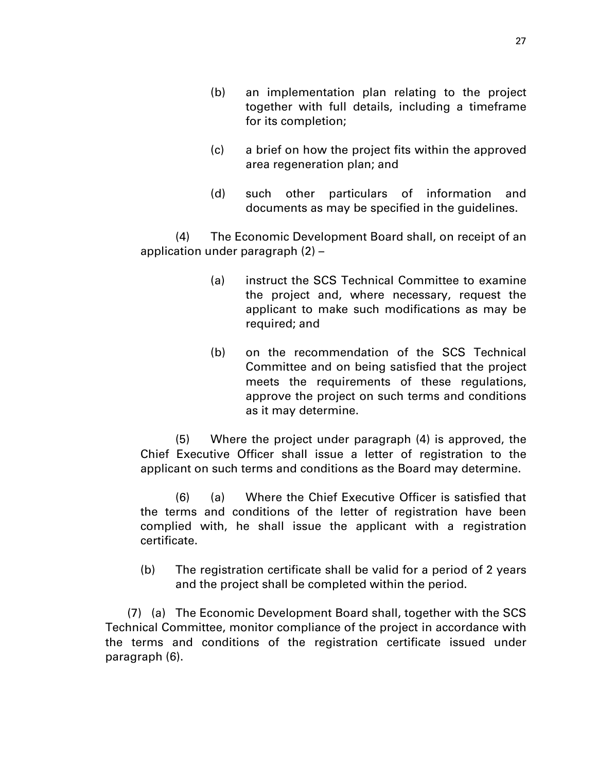- (b) an implementation plan relating to the project together with full details, including a timeframe for its completion;
- (c) a brief on how the project fits within the approved area regeneration plan; and
- (d) such other particulars of information and documents as may be specified in the guidelines.

(4) The Economic Development Board shall, on receipt of an application under paragraph (2) –

- (a) instruct the SCS Technical Committee to examine the project and, where necessary, request the applicant to make such modifications as may be required; and
- (b) on the recommendation of the SCS Technical Committee and on being satisfied that the project meets the requirements of these regulations, approve the project on such terms and conditions as it may determine.

(5) Where the project under paragraph (4) is approved, the Chief Executive Officer shall issue a letter of registration to the applicant on such terms and conditions as the Board may determine.

(6) (a) Where the Chief Executive Officer is satisfied that the terms and conditions of the letter of registration have been complied with, he shall issue the applicant with a registration certificate.

(b) The registration certificate shall be valid for a period of 2 years and the project shall be completed within the period.

(7) (a) The Economic Development Board shall, together with the SCS Technical Committee, monitor compliance of the project in accordance with the terms and conditions of the registration certificate issued under paragraph (6).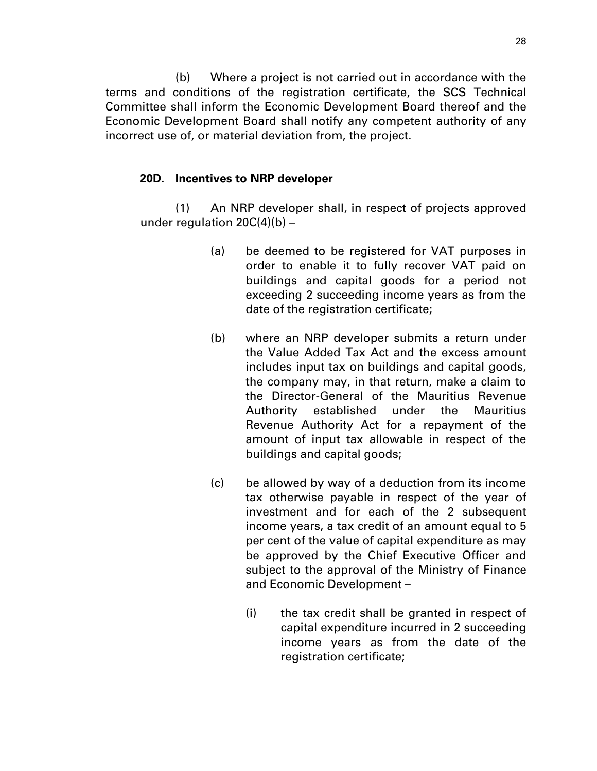(b) Where a project is not carried out in accordance with the terms and conditions of the registration certificate, the SCS Technical Committee shall inform the Economic Development Board thereof and the Economic Development Board shall notify any competent authority of any incorrect use of, or material deviation from, the project.

## **20D. Incentives to NRP developer**

(1) An NRP developer shall, in respect of projects approved under regulation  $20C(4)(b)$  –

- (a) be deemed to be registered for VAT purposes in order to enable it to fully recover VAT paid on buildings and capital goods for a period not exceeding 2 succeeding income years as from the date of the registration certificate;
- (b) where an NRP developer submits a return under the Value Added Tax Act and the excess amount includes input tax on buildings and capital goods, the company may, in that return, make a claim to the Director-General of the Mauritius Revenue Authority established under the Mauritius Revenue Authority Act for a repayment of the amount of input tax allowable in respect of the buildings and capital goods;
- (c) be allowed by way of a deduction from its income tax otherwise payable in respect of the year of investment and for each of the 2 subsequent income years, a tax credit of an amount equal to 5 per cent of the value of capital expenditure as may be approved by the Chief Executive Officer and subject to the approval of the Ministry of Finance and Economic Development –
	- (i) the tax credit shall be granted in respect of capital expenditure incurred in 2 succeeding income years as from the date of the registration certificate;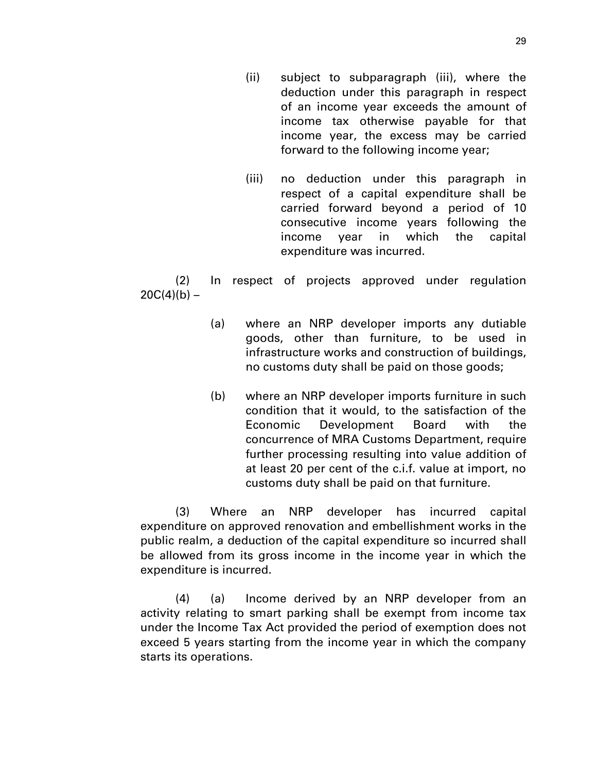- (ii) subject to subparagraph (iii), where the deduction under this paragraph in respect of an income year exceeds the amount of income tax otherwise payable for that income year, the excess may be carried forward to the following income year;
- (iii) no deduction under this paragraph in respect of a capital expenditure shall be carried forward beyond a period of 10 consecutive income years following the income year in which the capital expenditure was incurred.

(2) In respect of projects approved under regulation  $20C(4)(b) -$ 

- (a) where an NRP developer imports any dutiable goods, other than furniture, to be used in infrastructure works and construction of buildings, no customs duty shall be paid on those goods;
- (b) where an NRP developer imports furniture in such condition that it would, to the satisfaction of the Economic Development Board with the concurrence of MRA Customs Department, require further processing resulting into value addition of at least 20 per cent of the c.i.f. value at import, no customs duty shall be paid on that furniture.

(3) Where an NRP developer has incurred capital expenditure on approved renovation and embellishment works in the public realm, a deduction of the capital expenditure so incurred shall be allowed from its gross income in the income year in which the expenditure is incurred.

(4) (a) Income derived by an NRP developer from an activity relating to smart parking shall be exempt from income tax under the Income Tax Act provided the period of exemption does not exceed 5 years starting from the income year in which the company starts its operations.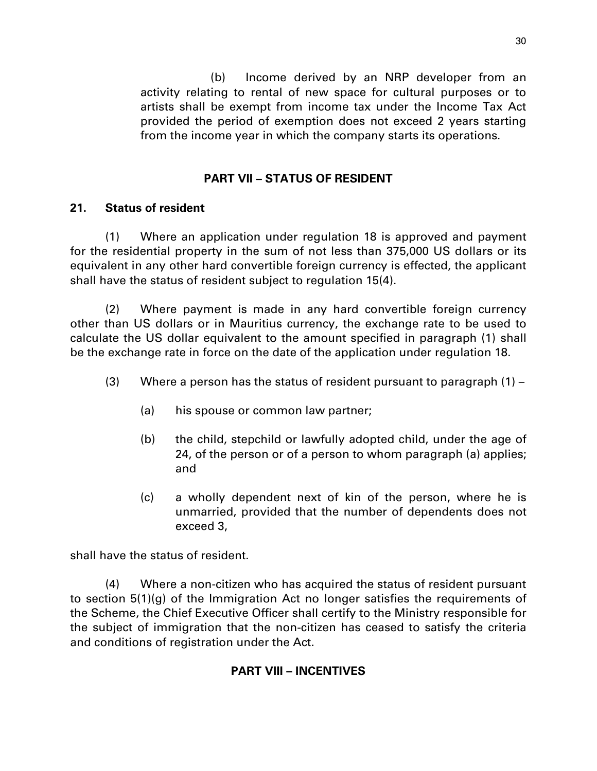(b) Income derived by an NRP developer from an activity relating to rental of new space for cultural purposes or to artists shall be exempt from income tax under the Income Tax Act provided the period of exemption does not exceed 2 years starting from the income year in which the company starts its operations.

## **PART VII – STATUS OF RESIDENT**

## **21. Status of resident**

(1) Where an application under regulation 18 is approved and payment for the residential property in the sum of not less than 375,000 US dollars or its equivalent in any other hard convertible foreign currency is effected, the applicant shall have the status of resident subject to regulation 15(4).

(2) Where payment is made in any hard convertible foreign currency other than US dollars or in Mauritius currency, the exchange rate to be used to calculate the US dollar equivalent to the amount specified in paragraph (1) shall be the exchange rate in force on the date of the application under regulation 18.

- (3) Where a person has the status of resident pursuant to paragraph  $(1)$ 
	- (a) his spouse or common law partner;
	- (b) the child, stepchild or lawfully adopted child, under the age of 24, of the person or of a person to whom paragraph (a) applies; and
	- (c) a wholly dependent next of kin of the person, where he is unmarried, provided that the number of dependents does not exceed 3,

shall have the status of resident.

(4) Where a non-citizen who has acquired the status of resident pursuant to section 5(1)(g) of the Immigration Act no longer satisfies the requirements of the Scheme, the Chief Executive Officer shall certify to the Ministry responsible for the subject of immigration that the non-citizen has ceased to satisfy the criteria and conditions of registration under the Act.

## **PART VIII – INCENTIVES**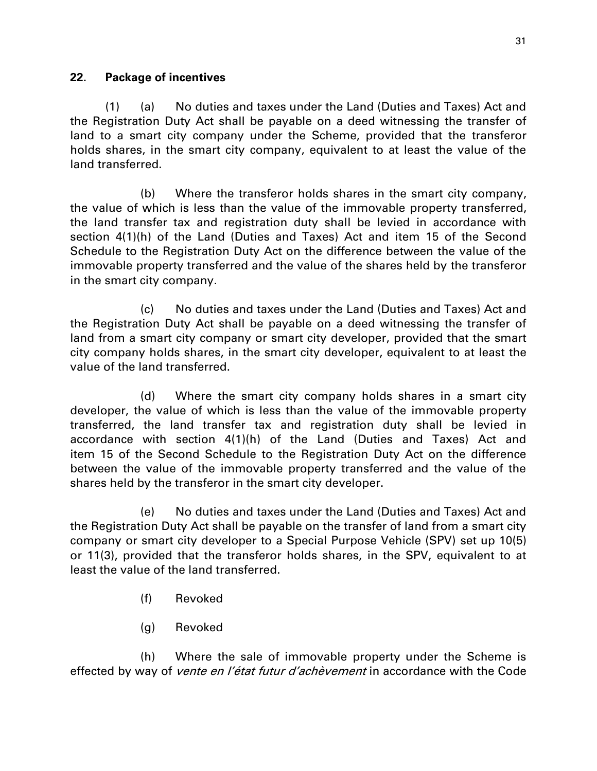### **22. Package of incentives**

(1) (a) No duties and taxes under the Land (Duties and Taxes) Act and the Registration Duty Act shall be payable on a deed witnessing the transfer of land to a smart city company under the Scheme, provided that the transferor holds shares, in the smart city company, equivalent to at least the value of the land transferred.

(b) Where the transferor holds shares in the smart city company, the value of which is less than the value of the immovable property transferred, the land transfer tax and registration duty shall be levied in accordance with section 4(1)(h) of the Land (Duties and Taxes) Act and item 15 of the Second Schedule to the Registration Duty Act on the difference between the value of the immovable property transferred and the value of the shares held by the transferor in the smart city company.

(c) No duties and taxes under the Land (Duties and Taxes) Act and the Registration Duty Act shall be payable on a deed witnessing the transfer of land from a smart city company or smart city developer, provided that the smart city company holds shares, in the smart city developer, equivalent to at least the value of the land transferred.

(d) Where the smart city company holds shares in a smart city developer, the value of which is less than the value of the immovable property transferred, the land transfer tax and registration duty shall be levied in accordance with section 4(1)(h) of the Land (Duties and Taxes) Act and item 15 of the Second Schedule to the Registration Duty Act on the difference between the value of the immovable property transferred and the value of the shares held by the transferor in the smart city developer.

(e) No duties and taxes under the Land (Duties and Taxes) Act and the Registration Duty Act shall be payable on the transfer of land from a smart city company or smart city developer to a Special Purpose Vehicle (SPV) set up 10(5) or 11(3), provided that the transferor holds shares, in the SPV, equivalent to at least the value of the land transferred.

- (f) Revoked
- (g) Revoked

(h) Where the sale of immovable property under the Scheme is effected by way of *vente en l'état futur d'achèvement* in accordance with the Code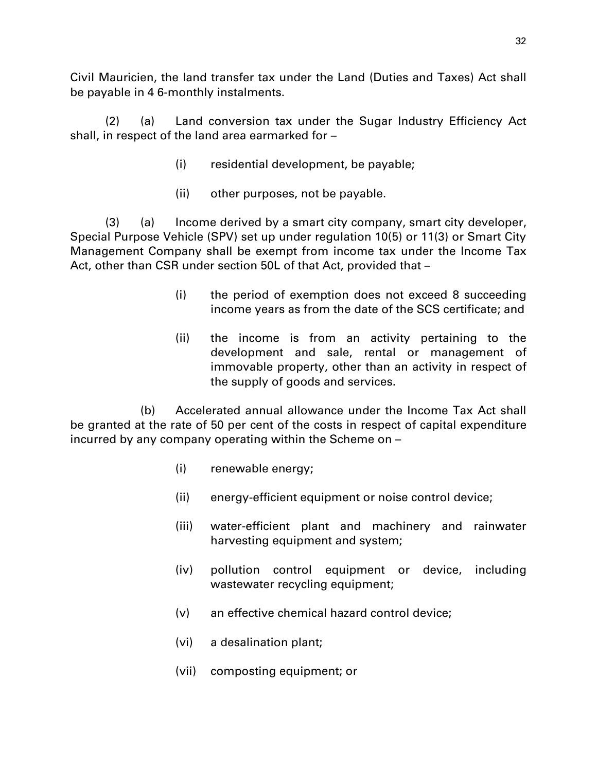Civil Mauricien, the land transfer tax under the Land (Duties and Taxes) Act shall be payable in 4 6-monthly instalments.

(2) (a) Land conversion tax under the Sugar Industry Efficiency Act shall, in respect of the land area earmarked for –

- (i) residential development, be payable;
- (ii) other purposes, not be payable.

(3) (a) Income derived by a smart city company, smart city developer, Special Purpose Vehicle (SPV) set up under regulation 10(5) or 11(3) or Smart City Management Company shall be exempt from income tax under the Income Tax Act, other than CSR under section 50L of that Act, provided that –

- (i) the period of exemption does not exceed 8 succeeding income years as from the date of the SCS certificate; and
- (ii) the income is from an activity pertaining to the development and sale, rental or management of immovable property, other than an activity in respect of the supply of goods and services.

(b) Accelerated annual allowance under the Income Tax Act shall be granted at the rate of 50 per cent of the costs in respect of capital expenditure incurred by any company operating within the Scheme on –

- (i) renewable energy;
- (ii) energy-efficient equipment or noise control device;
- (iii) water-efficient plant and machinery and rainwater harvesting equipment and system;
- (iv) pollution control equipment or device, including wastewater recycling equipment;
- (v) an effective chemical hazard control device;
- (vi) a desalination plant;
- (vii) composting equipment; or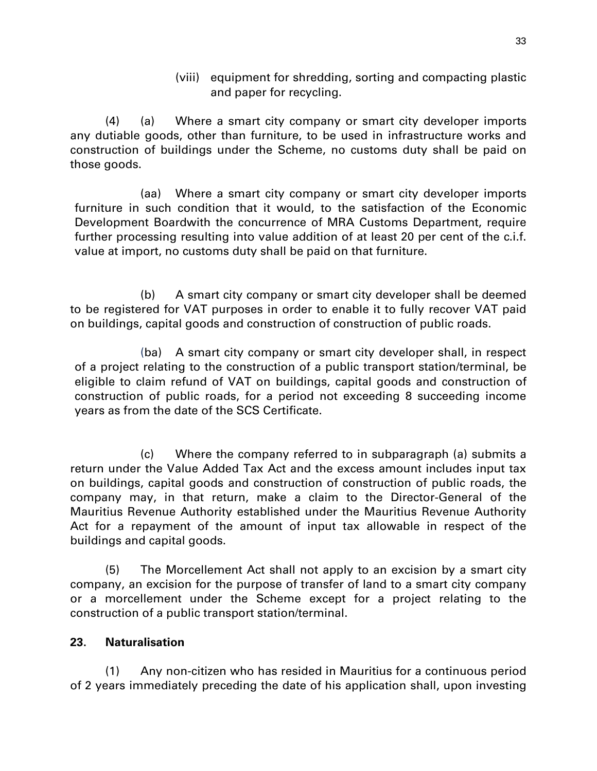(viii) equipment for shredding, sorting and compacting plastic and paper for recycling.

(4) (a) Where a smart city company or smart city developer imports any dutiable goods, other than furniture, to be used in infrastructure works and construction of buildings under the Scheme, no customs duty shall be paid on those goods.

(aa) Where a smart city company or smart city developer imports furniture in such condition that it would, to the satisfaction of the Economic Development Boardwith the concurrence of MRA Customs Department, require further processing resulting into value addition of at least 20 per cent of the c.i.f. value at import, no customs duty shall be paid on that furniture.

(b) A smart city company or smart city developer shall be deemed to be registered for VAT purposes in order to enable it to fully recover VAT paid on buildings, capital goods and construction of construction of public roads.

(ba) A smart city company or smart city developer shall, in respect of a project relating to the construction of a public transport station/terminal, be eligible to claim refund of VAT on buildings, capital goods and construction of construction of public roads, for a period not exceeding 8 succeeding income years as from the date of the SCS Certificate.

(c) Where the company referred to in subparagraph (a) submits a return under the Value Added Tax Act and the excess amount includes input tax on buildings, capital goods and construction of construction of public roads, the company may, in that return, make a claim to the Director-General of the Mauritius Revenue Authority established under the Mauritius Revenue Authority Act for a repayment of the amount of input tax allowable in respect of the buildings and capital goods.

(5) The Morcellement Act shall not apply to an excision by a smart city company, an excision for the purpose of transfer of land to a smart city company or a morcellement under the Scheme except for a project relating to the construction of a public transport station/terminal.

## **23. Naturalisation**

(1) Any non-citizen who has resided in Mauritius for a continuous period of 2 years immediately preceding the date of his application shall, upon investing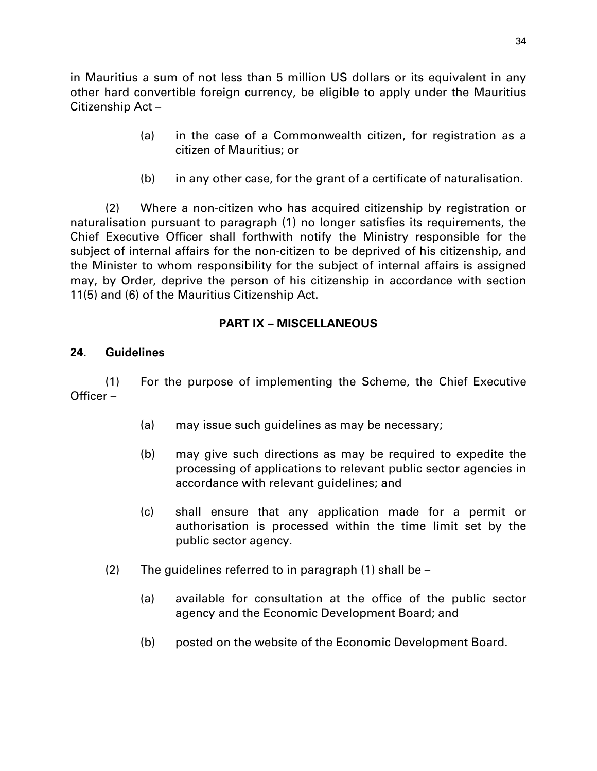in Mauritius a sum of not less than 5 million US dollars or its equivalent in any other hard convertible foreign currency, be eligible to apply under the Mauritius Citizenship Act –

- (a) in the case of a Commonwealth citizen, for registration as a citizen of Mauritius; or
- (b) in any other case, for the grant of a certificate of naturalisation.

(2) Where a non-citizen who has acquired citizenship by registration or naturalisation pursuant to paragraph (1) no longer satisfies its requirements, the Chief Executive Officer shall forthwith notify the Ministry responsible for the subject of internal affairs for the non-citizen to be deprived of his citizenship, and the Minister to whom responsibility for the subject of internal affairs is assigned may, by Order, deprive the person of his citizenship in accordance with section 11(5) and (6) of the Mauritius Citizenship Act.

## **PART IX – MISCELLANEOUS**

## **24. Guidelines**

(1) For the purpose of implementing the Scheme, the Chief Executive Officer –

- (a) may issue such guidelines as may be necessary;
- (b) may give such directions as may be required to expedite the processing of applications to relevant public sector agencies in accordance with relevant guidelines; and
- (c) shall ensure that any application made for a permit or authorisation is processed within the time limit set by the public sector agency.
- (2) The guidelines referred to in paragraph (1) shall be
	- (a) available for consultation at the office of the public sector agency and the Economic Development Board; and
	- (b) posted on the website of the Economic Development Board.